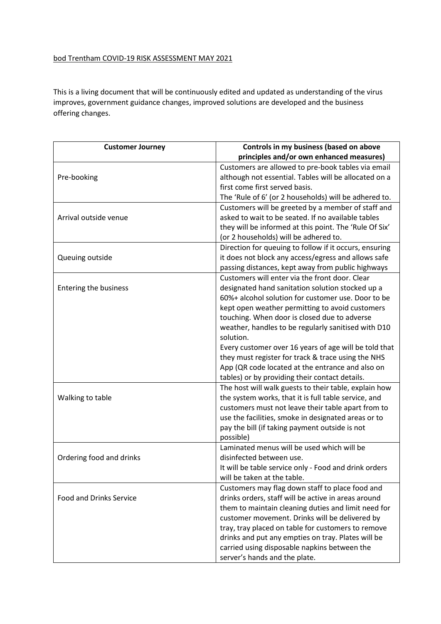## bod Trentham COVID-19 RISK ASSESSMENT MAY 2021

This is a living document that will be continuously edited and updated as understanding of the virus improves, government guidance changes, improved solutions are developed and the business offering changes.

| <b>Customer Journey</b>        | Controls in my business (based on above                |
|--------------------------------|--------------------------------------------------------|
|                                | principles and/or own enhanced measures)               |
|                                | Customers are allowed to pre-book tables via email     |
| Pre-booking                    | although not essential. Tables will be allocated on a  |
|                                | first come first served basis.                         |
|                                | The 'Rule of 6' (or 2 households) will be adhered to.  |
|                                | Customers will be greeted by a member of staff and     |
| Arrival outside venue          | asked to wait to be seated. If no available tables     |
|                                | they will be informed at this point. The 'Rule Of Six' |
|                                | (or 2 households) will be adhered to.                  |
|                                | Direction for queuing to follow if it occurs, ensuring |
| Queuing outside                | it does not block any access/egress and allows safe    |
|                                | passing distances, kept away from public highways      |
|                                | Customers will enter via the front door. Clear         |
| <b>Entering the business</b>   | designated hand sanitation solution stocked up a       |
|                                | 60%+ alcohol solution for customer use. Door to be     |
|                                | kept open weather permitting to avoid customers        |
|                                | touching. When door is closed due to adverse           |
|                                | weather, handles to be regularly sanitised with D10    |
|                                | solution.                                              |
|                                | Every customer over 16 years of age will be told that  |
|                                | they must register for track & trace using the NHS     |
|                                | App (QR code located at the entrance and also on       |
|                                | tables) or by providing their contact details.         |
|                                | The host will walk guests to their table, explain how  |
| Walking to table               | the system works, that it is full table service, and   |
|                                | customers must not leave their table apart from to     |
|                                | use the facilities, smoke in designated areas or to    |
|                                | pay the bill (if taking payment outside is not         |
|                                | possible)                                              |
| Ordering food and drinks       | Laminated menus will be used which will be             |
|                                | disinfected between use.                               |
|                                | It will be table service only - Food and drink orders  |
|                                | will be taken at the table.                            |
|                                | Customers may flag down staff to place food and        |
| <b>Food and Drinks Service</b> | drinks orders, staff will be active in areas around    |
|                                | them to maintain cleaning duties and limit need for    |
|                                | customer movement. Drinks will be delivered by         |
|                                | tray, tray placed on table for customers to remove     |
|                                | drinks and put any empties on tray. Plates will be     |
|                                | carried using disposable napkins between the           |
|                                | server's hands and the plate.                          |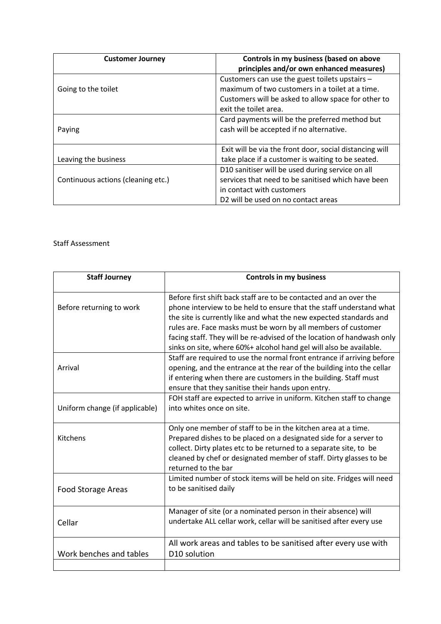| <b>Customer Journey</b>            | Controls in my business (based on above                 |
|------------------------------------|---------------------------------------------------------|
|                                    | principles and/or own enhanced measures)                |
|                                    | Customers can use the guest toilets upstairs -          |
| Going to the toilet                | maximum of two customers in a toilet at a time.         |
|                                    | Customers will be asked to allow space for other to     |
|                                    | exit the toilet area.                                   |
|                                    | Card payments will be the preferred method but          |
| Paying                             | cash will be accepted if no alternative.                |
|                                    |                                                         |
|                                    | Exit will be via the front door, social distancing will |
| Leaving the business               | take place if a customer is waiting to be seated.       |
|                                    | D10 sanitiser will be used during service on all        |
| Continuous actions (cleaning etc.) | services that need to be sanitised which have been      |
|                                    | in contact with customers                               |
|                                    | D2 will be used on no contact areas                     |

## Staff Assessment

| <b>Staff Journey</b>           | <b>Controls in my business</b>                                                                                                                                                                                                                                                                                                                                                                                                  |
|--------------------------------|---------------------------------------------------------------------------------------------------------------------------------------------------------------------------------------------------------------------------------------------------------------------------------------------------------------------------------------------------------------------------------------------------------------------------------|
| Before returning to work       | Before first shift back staff are to be contacted and an over the<br>phone interview to be held to ensure that the staff understand what<br>the site is currently like and what the new expected standards and<br>rules are. Face masks must be worn by all members of customer<br>facing staff. They will be re-advised of the location of handwash only<br>sinks on site, where 60%+ alcohol hand gel will also be available. |
| Arrival                        | Staff are required to use the normal front entrance if arriving before<br>opening, and the entrance at the rear of the building into the cellar<br>if entering when there are customers in the building. Staff must<br>ensure that they sanitise their hands upon entry.                                                                                                                                                        |
| Uniform change (if applicable) | FOH staff are expected to arrive in uniform. Kitchen staff to change<br>into whites once on site.                                                                                                                                                                                                                                                                                                                               |
| Kitchens                       | Only one member of staff to be in the kitchen area at a time.<br>Prepared dishes to be placed on a designated side for a server to<br>collect. Dirty plates etc to be returned to a separate site, to be<br>cleaned by chef or designated member of staff. Dirty glasses to be<br>returned to the bar                                                                                                                           |
| Food Storage Areas             | Limited number of stock items will be held on site. Fridges will need<br>to be sanitised daily                                                                                                                                                                                                                                                                                                                                  |
| Cellar                         | Manager of site (or a nominated person in their absence) will<br>undertake ALL cellar work, cellar will be sanitised after every use                                                                                                                                                                                                                                                                                            |
| Work benches and tables        | All work areas and tables to be sanitised after every use with<br>D10 solution                                                                                                                                                                                                                                                                                                                                                  |